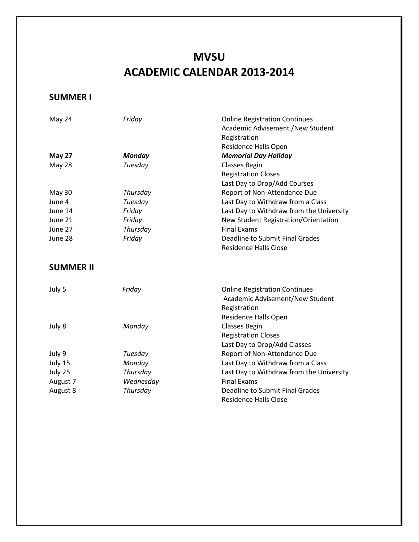# **MVSU ACADEMIC CALENDAR 2013-2014**

## **SUMMER I**

| May 24           | Friday        | <b>Online Registration Continues</b>     |
|------------------|---------------|------------------------------------------|
|                  |               | Academic Advisement /New Student         |
|                  |               | Registration                             |
|                  |               | Residence Halls Open                     |
| <b>May 27</b>    | <b>Monday</b> | <b>Memorial Day Holiday</b>              |
| <b>May 28</b>    | Tuesday       | <b>Classes Begin</b>                     |
|                  |               | <b>Registration Closes</b>               |
|                  |               | Last Day to Drop/Add Courses             |
| <b>May 30</b>    | Thursday      | Report of Non-Attendance Due             |
| June 4           | Tuesday       | Last Day to Withdraw from a Class        |
| June 14          | Friday        | Last Day to Withdraw from the University |
| June 21          | Friday        | New Student Registration/Orientation     |
| June 27          | Thursday      | <b>Final Exams</b>                       |
| June 28          | Friday        | <b>Deadline to Submit Final Grades</b>   |
|                  |               | <b>Residence Halls Close</b>             |
| <b>SUMMER II</b> |               |                                          |
| July 5           | Friday        | <b>Online Registration Continues</b>     |
|                  |               | Academic Advisement/New Student          |
|                  |               | Registration                             |
|                  |               | Residence Halls Open                     |
| July 8           | Monday        | <b>Classes Begin</b>                     |
|                  |               | <b>Registration Closes</b>               |
|                  |               | Last Day to Drop/Add Classes             |
| July 9           | Tuesday       | Report of Non-Attendance Due             |
| July 15          | Monday        | Last Day to Withdraw from a Class        |
| July 25          | Thursday      | Last Day to Withdraw from the University |
| August 7         | Wednesday     | <b>Final Exams</b>                       |
| August 8         | Thursday      | <b>Deadline to Submit Final Grades</b>   |
|                  |               | <b>Residence Halls Close</b>             |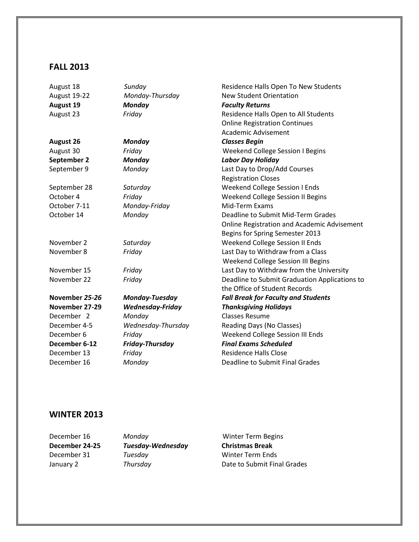## **FALL 2013**

| August 18        | Sunday                  | Residence Halls Open To New Students          |
|------------------|-------------------------|-----------------------------------------------|
| August 19-22     | Monday-Thursday         | <b>New Student Orientation</b>                |
| <b>August 19</b> | Monday                  | <b>Faculty Returns</b>                        |
| August 23        | Friday                  | Residence Halls Open to All Students          |
|                  |                         | <b>Online Registration Continues</b>          |
|                  |                         | <b>Academic Advisement</b>                    |
| <b>August 26</b> | <b>Monday</b>           | <b>Classes Begin</b>                          |
| August 30        | Friday                  | <b>Weekend College Session I Begins</b>       |
| September 2      | <b>Monday</b>           | <b>Labor Day Holiday</b>                      |
| September 9      | Monday                  | Last Day to Drop/Add Courses                  |
|                  |                         | <b>Registration Closes</b>                    |
| September 28     | Saturday                | Weekend College Session I Ends                |
| October 4        | Friday                  | Weekend College Session II Begins             |
| October 7-11     | Monday-Friday           | Mid-Term Exams                                |
| October 14       | Monday                  | Deadline to Submit Mid-Term Grades            |
|                  |                         | Online Registration and Academic Advisement   |
|                  |                         | Begins for Spring Semester 2013               |
| November 2       | Saturday                | Weekend College Session II Ends               |
| November 8       | Friday                  | Last Day to Withdraw from a Class             |
|                  |                         | Weekend College Session III Begins            |
| November 15      | Friday                  | Last Day to Withdraw from the University      |
| November 22      | Friday                  | Deadline to Submit Graduation Applications to |
|                  |                         | the Office of Student Records                 |
| November 25-26   | Monday-Tuesday          | <b>Fall Break for Faculty and Students</b>    |
| November 27-29   | <b>Wednesday-Friday</b> | <b>Thanksgiving Holidays</b>                  |
| December 2       | Monday                  | <b>Classes Resume</b>                         |
| December 4-5     | Wednesday-Thursday      | Reading Days (No Classes)                     |
| December 6       | Friday                  | Weekend College Session III Ends              |
| December 6-12    | Friday-Thursday         | <b>Final Exams Scheduled</b>                  |
| December 13      | Friday                  | <b>Residence Halls Close</b>                  |
| December 16      | Monday                  | Deadline to Submit Final Grades               |

#### **WINTER 2013**

**December 24-25** *Tuesday-Wednesday* **Christmas Break December 31** *Tuesday* Winter Term Ends<br>
January 2 **Thursday Thusday** Date to Submit Fina

**December 16** *Monday* Winter Term Begins January 2 *Thursday* Date to Submit Final Grades